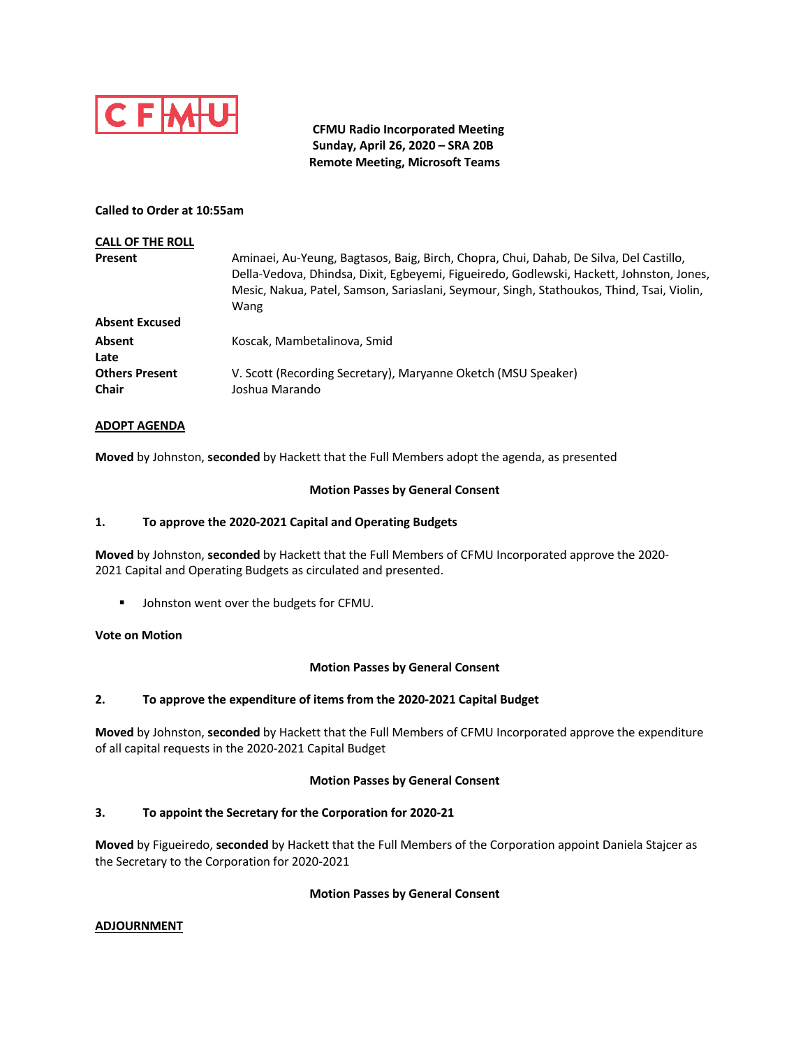

 **CFMU Radio Incorporated Meeting Sunday, April 26, 2020 – SRA 20B Remote Meeting, Microsoft Teams**

### **Called to Order at 10:55am**

| <b>CALL OF THE ROLL</b>               |                                                                                                                                                                                                                                                                                         |
|---------------------------------------|-----------------------------------------------------------------------------------------------------------------------------------------------------------------------------------------------------------------------------------------------------------------------------------------|
| Present                               | Aminaei, Au-Yeung, Bagtasos, Baig, Birch, Chopra, Chui, Dahab, De Silva, Del Castillo,<br>Della-Vedova, Dhindsa, Dixit, Egbeyemi, Figueiredo, Godlewski, Hackett, Johnston, Jones,<br>Mesic, Nakua, Patel, Samson, Sariaslani, Seymour, Singh, Stathoukos, Thind, Tsai, Violin,<br>Wang |
| <b>Absent Excused</b>                 |                                                                                                                                                                                                                                                                                         |
| Absent<br>Late                        | Koscak, Mambetalinova, Smid                                                                                                                                                                                                                                                             |
| <b>Others Present</b><br><b>Chair</b> | V. Scott (Recording Secretary), Maryanne Oketch (MSU Speaker)<br>Joshua Marando                                                                                                                                                                                                         |

### **ADOPT AGENDA**

**Moved** by Johnston, **seconded** by Hackett that the Full Members adopt the agenda, as presented

#### **Motion Passes by General Consent**

### **1. To approve the 2020-2021 Capital and Operating Budgets**

**Moved** by Johnston, **seconded** by Hackett that the Full Members of CFMU Incorporated approve the 2020- 2021 Capital and Operating Budgets as circulated and presented.

■ Johnston went over the budgets for CFMU.

### **Vote on Motion**

#### **Motion Passes by General Consent**

### **2. To approve the expenditure of items from the 2020-2021 Capital Budget**

**Moved** by Johnston, **seconded** by Hackett that the Full Members of CFMU Incorporated approve the expenditure of all capital requests in the 2020-2021 Capital Budget

#### **Motion Passes by General Consent**

#### **3. To appoint the Secretary for the Corporation for 2020-21**

**Moved** by Figueiredo, **seconded** by Hackett that the Full Members of the Corporation appoint Daniela Stajcer as the Secretary to the Corporation for 2020-2021

#### **Motion Passes by General Consent**

#### **ADJOURNMENT**